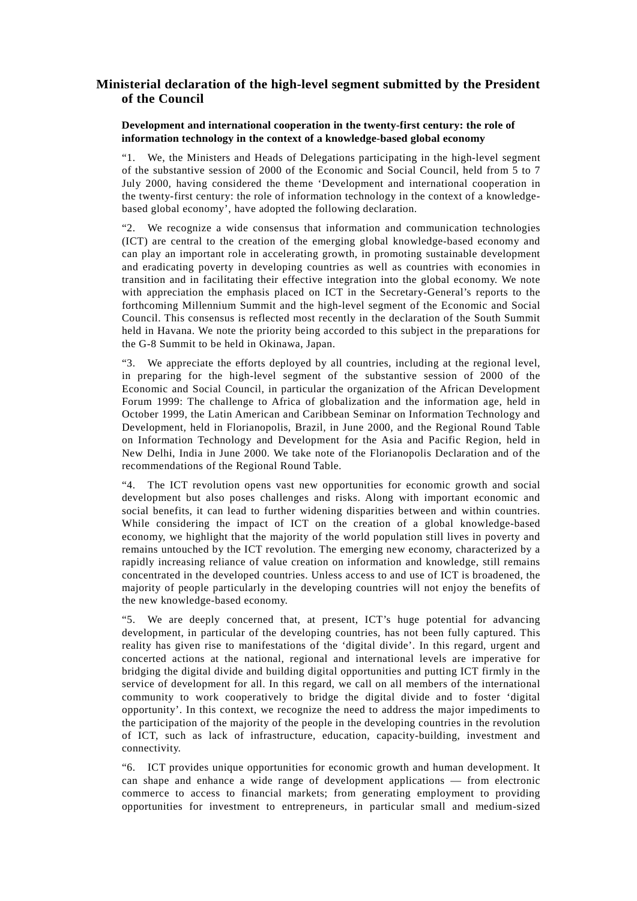## **Ministerial declaration of the high-level segment submitted by the President of the Council**

## **Development and international cooperation in the twenty-first century: the role of information technology in the context of a knowledge-based global economy**

"1. We, the Ministers and Heads of Delegations participating in the high-level segment of the substantive session of 2000 of the Economic and Social Council, held from 5 to 7 July 2000, having considered the theme 'Development and international cooperation in the twenty-first century: the role of information technology in the context of a knowledgebased global economy', have adopted the following declaration.

"2. We recognize a wide consensus that information and communication technologies (ICT) are central to the creation of the emerging global knowledge-based economy and can play an important role in accelerating growth, in promoting sustainable development and eradicating poverty in developing countries as well as countries with economies in transition and in facilitating their effective integration into the global economy. We note with appreciation the emphasis placed on ICT in the Secretary-General's reports to the forthcoming Millennium Summit and the high-level segment of the Economic and Social Council. This consensus is reflected most recently in the declaration of the South Summit held in Havana. We note the priority being accorded to this subject in the preparations for the G-8 Summit to be held in Okinawa, Japan.

"3. We appreciate the efforts deployed by all countries, including at the regional level, in preparing for the high-level segment of the substantive session of 2000 of the Economic and Social Council, in particular the organization of the African Development Forum 1999: The challenge to Africa of globalization and the information age, held in October 1999, the Latin American and Caribbean Seminar on Information Technology and Development, held in Florianopolis, Brazil, in June 2000, and the Regional Round Table on Information Technology and Development for the Asia and Pacific Region, held in New Delhi, India in June 2000. We take note of the Florianopolis Declaration and of the recommendations of the Regional Round Table.

"4. The ICT revolution opens vast new opportunities for economic growth and social development but also poses challenges and risks. Along with important economic and social benefits, it can lead to further widening disparities between and within countries. While considering the impact of ICT on the creation of a global knowledge-based economy, we highlight that the majority of the world population still lives in poverty and remains untouched by the ICT revolution. The emerging new economy, characterized by a rapidly increasing reliance of value creation on information and knowledge, still remains concentrated in the developed countries. Unless access to and use of ICT is broadened, the majority of people particularly in the developing countries will not enjoy the benefits of the new knowledge-based economy.

"5. We are deeply concerned that, at present, ICT's huge potential for advancing development, in particular of the developing countries, has not been fully captured. This reality has given rise to manifestations of the 'digital divide'. In this regard, urgent and concerted actions at the national, regional and international levels are imperative for bridging the digital divide and building digital opportunities and putting ICT firmly in the service of development for all. In this regard, we call on all members of the international community to work cooperatively to bridge the digital divide and to foster 'digital opportunity'. In this context, we recognize the need to address the major impediments to the participation of the majority of the people in the developing countries in the revolution of ICT, such as lack of infrastructure, education, capacity-building, investment and connectivity.

"6. ICT provides unique opportunities for economic growth and human development. It can shape and enhance a wide range of development applications — from electronic commerce to access to financial markets; from generating employment to providing opportunities for investment to entrepreneurs, in particular small and medium-sized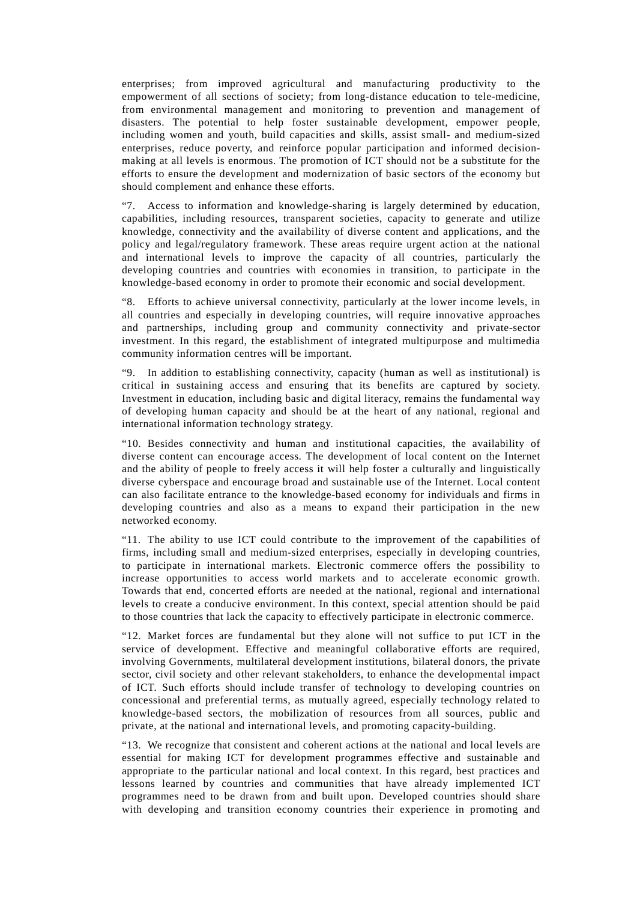enterprises; from improved agricultural and manufacturing productivity to the empowerment of all sections of society; from long-distance education to tele-medicine, from environmental management and monitoring to prevention and management of disasters. The potential to help foster sustainable development, empower people, including women and youth, build capacities and skills, assist small- and medium-sized enterprises, reduce poverty, and reinforce popular participation and informed decisionmaking at all levels is enormous. The promotion of ICT should not be a substitute for the efforts to ensure the development and modernization of basic sectors of the economy but should complement and enhance these efforts.

"7. Access to information and knowledge-sharing is largely determined by education, capabilities, including resources, transparent societies, capacity to generate and utilize knowledge, connectivity and the availability of diverse content and applications, and the policy and legal/regulatory framework. These areas require urgent action at the national and international levels to improve the capacity of all countries, particularly the developing countries and countries with economies in transition, to participate in the knowledge-based economy in order to promote their economic and social development.

"8. Efforts to achieve universal connectivity, particularly at the lower income levels, in all countries and especially in developing countries, will require innovative approaches and partnerships, including group and community connectivity and private-sector investment. In this regard, the establishment of integrated multipurpose and multimedia community information centres will be important.

"9. In addition to establishing connectivity, capacity (human as well as institutional) is critical in sustaining access and ensuring that its benefits are captured by society. Investment in education, including basic and digital literacy, remains the fundamental way of developing human capacity and should be at the heart of any national, regional and international information technology strategy.

"10. Besides connectivity and human and institutional capacities, the availability of diverse content can encourage access. The development of local content on the Internet and the ability of people to freely access it will help foster a culturally and linguistically diverse cyberspace and encourage broad and sustainable use of the Internet. Local content can also facilitate entrance to the knowledge-based economy for individuals and firms in developing countries and also as a means to expand their participation in the new networked economy.

"11. The ability to use ICT could contribute to the improvement of the capabilities of firms, including small and medium-sized enterprises, especially in developing countries, to participate in international markets. Electronic commerce offers the possibility to increase opportunities to access world markets and to accelerate economic growth. Towards that end, concerted efforts are needed at the national, regional and international levels to create a conducive environment. In this context, special attention should be paid to those countries that lack the capacity to effectively participate in electronic commerce.

"12. Market forces are fundamental but they alone will not suffice to put ICT in the service of development. Effective and meaningful collaborative efforts are required, involving Governments, multilateral development institutions, bilateral donors, the private sector, civil society and other relevant stakeholders, to enhance the developmental impact of ICT. Such efforts should include transfer of technology to developing countries on concessional and preferential terms, as mutually agreed, especially technology related to knowledge-based sectors, the mobilization of resources from all sources, public and private, at the national and international levels, and promoting capacity-building.

"13. We recognize that consistent and coherent actions at the national and local levels are essential for making ICT for development programmes effective and sustainable and appropriate to the particular national and local context. In this regard, best practices and lessons learned by countries and communities that have already implemented ICT programmes need to be drawn from and built upon. Developed countries should share with developing and transition economy countries their experience in promoting and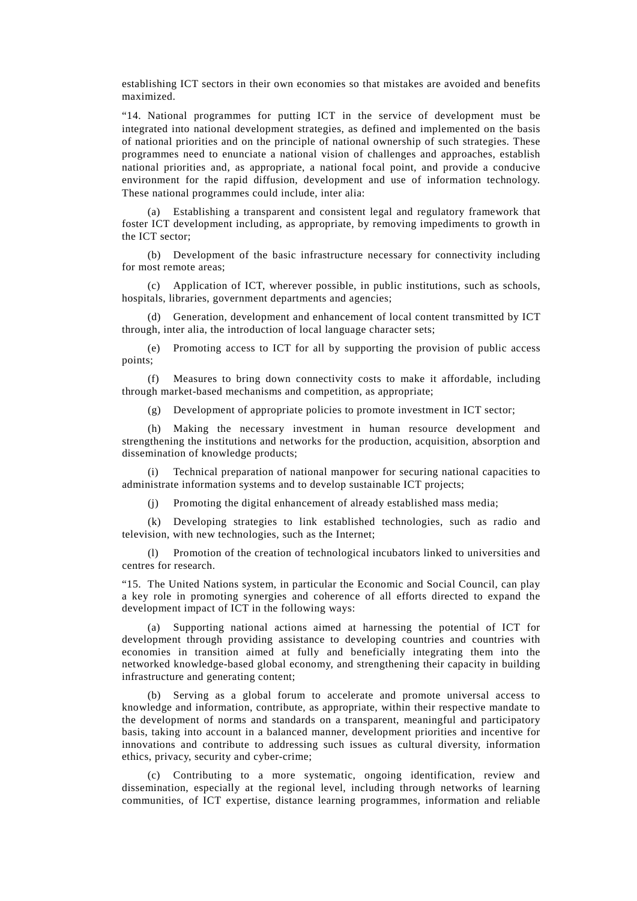establishing ICT sectors in their own economies so that mistakes are avoided and benefits maximized.

"14. National programmes for putting ICT in the service of development must be integrated into national development strategies, as defined and implemented on the basis of national priorities and on the principle of national ownership of such strategies. These programmes need to enunciate a national vision of challenges and approaches, establish national priorities and, as appropriate, a national focal point, and provide a conducive environment for the rapid diffusion, development and use of information technology. These national programmes could include, inter alia:

(a) Establishing a transparent and consistent legal and regulatory framework that foster ICT development including, as appropriate, by removing impediments to growth in the ICT sector;

(b) Development of the basic infrastructure necessary for connectivity including for most remote areas;

(c) Application of ICT, wherever possible, in public institutions, such as schools, hospitals, libraries, government departments and agencies;

(d) Generation, development and enhancement of local content transmitted by ICT through, inter alia, the introduction of local language character sets;

(e) Promoting access to ICT for all by supporting the provision of public access points;

(f) Measures to bring down connectivity costs to make it affordable, including through market-based mechanisms and competition, as appropriate;

(g) Development of appropriate policies to promote investment in ICT sector;

(h) Making the necessary investment in human resource development and strengthening the institutions and networks for the production, acquisition, absorption and dissemination of knowledge products;

(i) Technical preparation of national manpower for securing national capacities to administrate information systems and to develop sustainable ICT projects;

(j) Promoting the digital enhancement of already established mass media;

(k) Developing strategies to link established technologies, such as radio and television, with new technologies, such as the Internet;

(l) Promotion of the creation of technological incubators linked to universities and centres for research.

"15. The United Nations system, in particular the Economic and Social Council, can play a key role in promoting synergies and coherence of all efforts directed to expand the development impact of ICT in the following ways:

Supporting national actions aimed at harnessing the potential of ICT for development through providing assistance to developing countries and countries with economies in transition aimed at fully and beneficially integrating them into the networked knowledge-based global economy, and strengthening their capacity in building infrastructure and generating content;

(b) Serving as a global forum to accelerate and promote universal access to knowledge and information, contribute, as appropriate, within their respective mandate to the development of norms and standards on a transparent, meaningful and participatory basis, taking into account in a balanced manner, development priorities and incentive for innovations and contribute to addressing such issues as cultural diversity, information ethics, privacy, security and cyber-crime;

(c) Contributing to a more systematic, ongoing identification, review and dissemination, especially at the regional level, including through networks of learning communities, of ICT expertise, distance learning programmes, information and reliable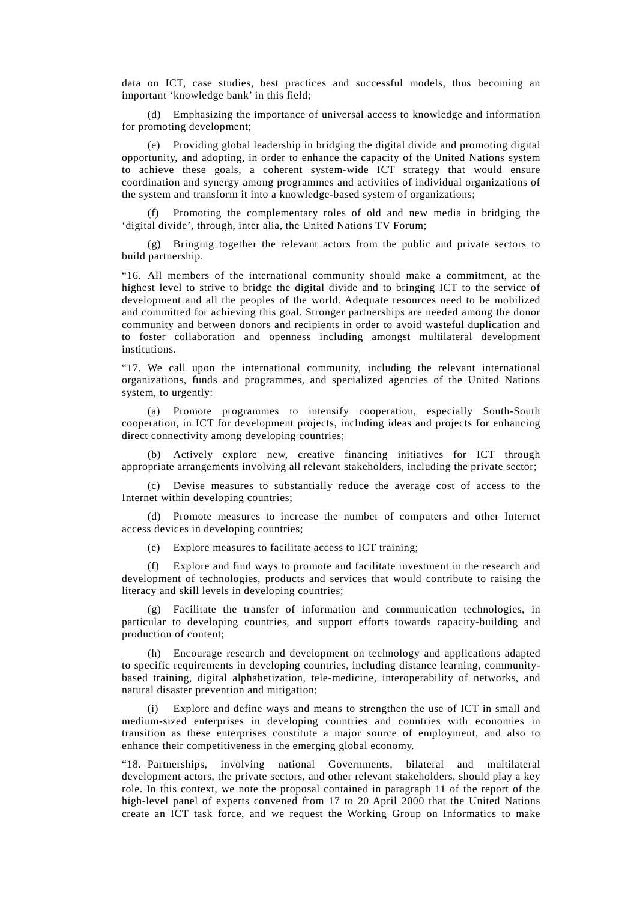data on ICT, case studies, best practices and successful models, thus becoming an important 'knowledge bank' in this field;

(d) Emphasizing the importance of universal access to knowledge and information for promoting development;

(e) Providing global leadership in bridging the digital divide and promoting digital opportunity, and adopting, in order to enhance the capacity of the United Nations system to achieve these goals, a coherent system-wide ICT strategy that would ensure coordination and synergy among programmes and activities of individual organizations of the system and transform it into a knowledge-based system of organizations;

Promoting the complementary roles of old and new media in bridging the 'digital divide', through, inter alia, the United Nations TV Forum;

(g) Bringing together the relevant actors from the public and private sectors to build partnership.

"16. All members of the international community should make a commitment, at the highest level to strive to bridge the digital divide and to bringing ICT to the service of development and all the peoples of the world. Adequate resources need to be mobilized and committed for achieving this goal. Stronger partnerships are needed among the donor community and between donors and recipients in order to avoid wasteful duplication and to foster collaboration and openness including amongst multilateral development institutions.

"17. We call upon the international community, including the relevant international organizations, funds and programmes, and specialized agencies of the United Nations system, to urgently:

(a) Promote programmes to intensify cooperation, especially South-South cooperation, in ICT for development projects, including ideas and projects for enhancing direct connectivity among developing countries;

(b) Actively explore new, creative financing initiatives for ICT through appropriate arrangements involving all relevant stakeholders, including the private sector;

(c) Devise measures to substantially reduce the average cost of access to the Internet within developing countries;

(d) Promote measures to increase the number of computers and other Internet access devices in developing countries;

(e) Explore measures to facilitate access to ICT training;

(f) Explore and find ways to promote and facilitate investment in the research and development of technologies, products and services that would contribute to raising the literacy and skill levels in developing countries;

(g) Facilitate the transfer of information and communication technologies, in particular to developing countries, and support efforts towards capacity-building and production of content;

(h) Encourage research and development on technology and applications adapted to specific requirements in developing countries, including distance learning, communitybased training, digital alphabetization, tele-medicine, interoperability of networks, and natural disaster prevention and mitigation;

(i) Explore and define ways and means to strengthen the use of ICT in small and medium-sized enterprises in developing countries and countries with economies in transition as these enterprises constitute a major source of employment, and also to enhance their competitiveness in the emerging global economy.

"18. Partnerships, involving national Governments, bilateral and multilateral development actors, the private sectors, and other relevant stakeholders, should play a key role. In this context, we note the proposal contained in paragraph 11 of the report of the high-level panel of experts convened from 17 to 20 April 2000 that the United Nations create an ICT task force, and we request the Working Group on Informatics to make